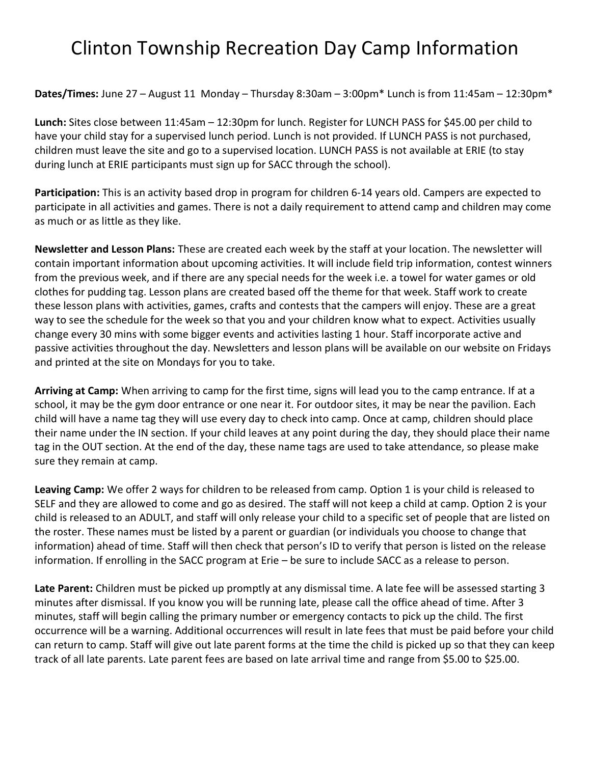## Clinton Township Recreation Day Camp Information

**Dates/Times:** June 27 – August 11 Monday – Thursday 8:30am – 3:00pm\* Lunch is from 11:45am – 12:30pm\*

Lunch: Sites close between 11:45am – 12:30pm for lunch. Register for LUNCH PASS for \$45.00 per child to have your child stay for a supervised lunch period. Lunch is not provided. If LUNCH PASS is not purchased, children must leave the site and go to a supervised location. LUNCH PASS is not available at ERIE (to stay during lunch at ERIE participants must sign up for SACC through the school).

Participation: This is an activity based drop in program for children 6-14 years old. Campers are expected to participate in all activities and games. There is not a daily requirement to attend camp and children may come as much or as little as they like.

Newsletter and Lesson Plans: These are created each week by the staff at your location. The newsletter will contain important information about upcoming activities. It will include field trip information, contest winners from the previous week, and if there are any special needs for the week i.e. a towel for water games or old clothes for pudding tag. Lesson plans are created based off the theme for that week. Staff work to create these lesson plans with activities, games, crafts and contests that the campers will enjoy. These are a great way to see the schedule for the week so that you and your children know what to expect. Activities usually change every 30 mins with some bigger events and activities lasting 1 hour. Staff incorporate active and passive activities throughout the day. Newsletters and lesson plans will be available on our website on Fridays and printed at the site on Mondays for you to take.

Arriving at Camp: When arriving to camp for the first time, signs will lead you to the camp entrance. If at a school, it may be the gym door entrance or one near it. For outdoor sites, it may be near the pavilion. Each child will have a name tag they will use every day to check into camp. Once at camp, children should place their name under the IN section. If your child leaves at any point during the day, they should place their name tag in the OUT section. At the end of the day, these name tags are used to take attendance, so please make sure they remain at camp.

Leaving Camp: We offer 2 ways for children to be released from camp. Option 1 is your child is released to SELF and they are allowed to come and go as desired. The staff will not keep a child at camp. Option 2 is your child is released to an ADULT, and staff will only release your child to a specific set of people that are listed on the roster. These names must be listed by a parent or guardian (or individuals you choose to change that information) ahead of time. Staff will then check that person's ID to verify that person is listed on the release information. If enrolling in the SACC program at Erie – be sure to include SACC as a release to person.

Late Parent: Children must be picked up promptly at any dismissal time. A late fee will be assessed starting 3 minutes after dismissal. If you know you will be running late, please call the office ahead of time. After 3 minutes, staff will begin calling the primary number or emergency contacts to pick up the child. The first occurrence will be a warning. Additional occurrences will result in late fees that must be paid before your child can return to camp. Staff will give out late parent forms at the time the child is picked up so that they can keep track of all late parents. Late parent fees are based on late arrival time and range from \$5.00 to \$25.00.